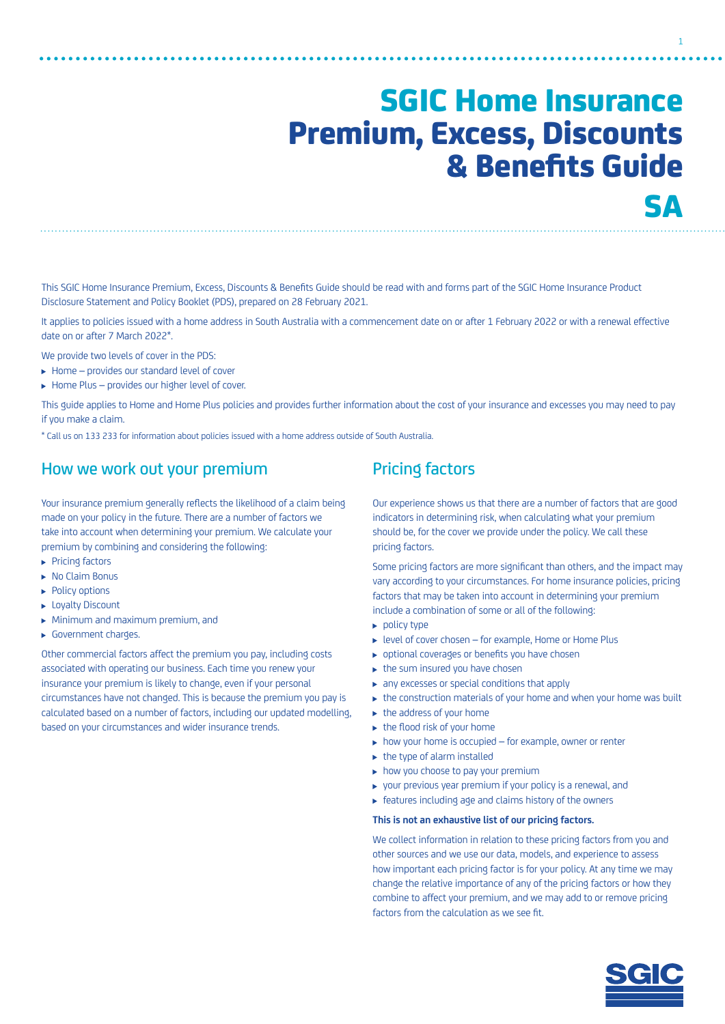# SGIC Home Insurance Premium, Excess, Discounts & Benefits Guide **SA**

1

This SGIC Home Insurance Premium, Excess, Discounts & Benefits Guide should be read with and forms part of the SGIC Home Insurance Product Disclosure Statement and Policy Booklet (PDS), prepared on 28 February 2021.

It applies to policies issued with a home address in South Australia with a commencement date on or after 1 February 2022 or with a renewal effective date on or after 7 March 2022\*.

We provide two levels of cover in the PDS:

- $\blacktriangleright$  Home provides our standard level of cover
- ▶ Home Plus provides our higher level of cover.

This guide applies to Home and Home Plus policies and provides further information about the cost of your insurance and excesses you may need to pay if you make a claim.

\* Call us on 133 233 for information about policies issued with a home address outside of South Australia.

# How we work out your premium

Your insurance premium generally reflects the likelihood of a claim being made on your policy in the future. There are a number of factors we take into account when determining your premium. We calculate your premium by combining and considering the following:

- **Pricing factors**
- ▶ No Claim Bonus
- ▶ Policy options
- **Loyalty Discount**
- Minimum and maximum premium, and
- Government charges.

Other commercial factors affect the premium you pay, including costs associated with operating our business. Each time you renew your insurance your premium is likely to change, even if your personal circumstances have not changed. This is because the premium you pay is calculated based on a number of factors, including our updated modelling, based on your circumstances and wider insurance trends.

# Pricing factors

Our experience shows us that there are a number of factors that are good indicators in determining risk, when calculating what your premium should be, for the cover we provide under the policy. We call these pricing factors.

Some pricing factors are more significant than others, and the impact may vary according to your circumstances. For home insurance policies, pricing factors that may be taken into account in determining your premium include a combination of some or all of the following:

- $\blacktriangleright$  policy type
- level of cover chosen for example, Home or Home Plus
- optional coverages or benefits you have chosen
- $\blacktriangleright$  the sum insured you have chosen
- $\triangleright$  any excesses or special conditions that apply
- $\triangleright$  the construction materials of your home and when your home was built
- $\blacktriangleright$  the address of your home
- $\blacktriangleright$  the flood risk of your home
- $\rightarrow$  how your home is occupied for example, owner or renter
- $\blacktriangleright$  the type of alarm installed
- $\blacktriangleright$  how you choose to pay your premium
- $\triangleright$  your previous year premium if your policy is a renewal, and
- $\blacktriangleright$  features including age and claims history of the owners

#### **This is not an exhaustive list of our pricing factors.**

We collect information in relation to these pricing factors from you and other sources and we use our data, models, and experience to assess how important each pricing factor is for your policy. At any time we may change the relative importance of any of the pricing factors or how they combine to affect your premium, and we may add to or remove pricing factors from the calculation as we see fit.

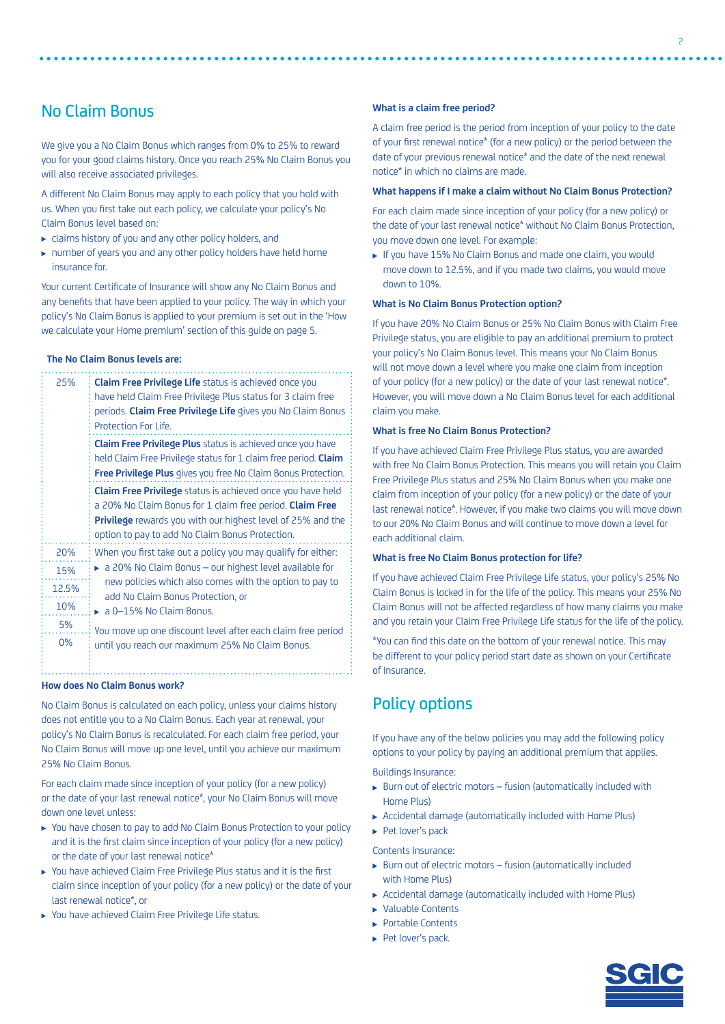# No Claim Bonus

We give you a No Claim Bonus which ranges from 0% to 25% to reward you for your good claims history. Once you reach 25% No Claim Bonus you will also receive associated privileges.

A different No Claim Bonus may apply to each policy that you hold with us. When you first take out each policy, we calculate your policy's No Claim Bonus level based on:

- claims history of you and any other policy holders, and
- number of years you and any other policy holders have held home insurance for.

Your current Certificate of Insurance will show any No Claim Bonus and any benefits that have been applied to your policy. The way in which your policy's No Claim Bonus is applied to your premium is set out in the 'How we calculate your Home premium' section of this guide on page 5.

### **The No Claim Bonus levels are:**

| 25%   | <b>Claim Free Privilege Life</b> status is achieved once you           |  |  |  |  |  |
|-------|------------------------------------------------------------------------|--|--|--|--|--|
|       | have held Claim Free Privilege Plus status for 3 claim free            |  |  |  |  |  |
|       | periods. Claim Free Privilege Life gives you No Claim Bonus            |  |  |  |  |  |
|       | Protection For Life.                                                   |  |  |  |  |  |
|       | <b>Claim Free Privilege Plus</b> status is achieved once you have      |  |  |  |  |  |
|       | held Claim Free Privilege status for 1 claim free period. <b>Claim</b> |  |  |  |  |  |
|       | Free Privilege Plus gives you free No Claim Bonus Protection.          |  |  |  |  |  |
|       | <b>Claim Free Privilege</b> status is achieved once you have held      |  |  |  |  |  |
|       | a 20% No Claim Bonus for 1 claim free period. <b>Claim Free</b>        |  |  |  |  |  |
|       | <b>Privilege</b> rewards you with our highest level of 25% and the     |  |  |  |  |  |
|       | option to pay to add No Claim Bonus Protection.                        |  |  |  |  |  |
| 20%   | When you first take out a policy you may qualify for either:           |  |  |  |  |  |
| 15%   | a 20% No Claim Bonus - our highest level available for                 |  |  |  |  |  |
| 12.5% | new policies which also comes with the option to pay to                |  |  |  |  |  |
| 10%   | add No Claim Bonus Protection, or<br>a 0-15% No Claim Bonus.           |  |  |  |  |  |
| 5%    | You move up one discount level after each claim free period            |  |  |  |  |  |
| 0%    | until you reach our maximum 25% No Claim Bonus.                        |  |  |  |  |  |
|       |                                                                        |  |  |  |  |  |

#### **How does No Claim Bonus work?**

No Claim Bonus is calculated on each policy, unless your claims history does not entitle you to a No Claim Bonus. Each year at renewal, your policy's No Claim Bonus is recalculated. For each claim free period, your No Claim Bonus will move up one level, until you achieve our maximum 25% No Claim Bonus.

For each claim made since inception of your policy (for a new policy) or the date of your last renewal notice\*, your No Claim Bonus will move down one level unless:

- ▶ You have chosen to pay to add No Claim Bonus Protection to your policy and it is the first claim since inception of your policy (for a new policy) or the date of your last renewal notice\*
- You have achieved Claim Free Privilege Plus status and it is the first claim since inception of your policy (for a new policy) or the date of your last renewal notice\*, or
- You have achieved Claim Free Privilege Life status.

#### **What is a claim free period?**

A claim free period is the period from inception of your policy to the date of your first renewal notice\* (for a new policy) or the period between the date of your previous renewal notice\* and the date of the next renewal notice\* in which no claims are made.

#### **What happens if I make a claim without No Claim Bonus Protection?**

For each claim made since inception of your policy (for a new policy) or the date of your last renewal notice\* without No Claim Bonus Protection, you move down one level. For example:

 If you have 15% No Claim Bonus and made one claim, you would move down to 12.5%, and if you made two claims, you would move down to 10%.

#### **What is No Claim Bonus Protection option?**

If you have 20% No Claim Bonus or 25% No Claim Bonus with Claim Free Privilege status, you are eligible to pay an additional premium to protect your policy's No Claim Bonus level. This means your No Claim Bonus will not move down a level where you make one claim from inception of your policy (for a new policy) or the date of your last renewal notice\*. However, you will move down a No Claim Bonus level for each additional claim you make.

### **What is free No Claim Bonus Protection?**

If you have achieved Claim Free Privilege Plus status, you are awarded with free No Claim Bonus Protection. This means you will retain you Claim Free Privilege Plus status and 25% No Claim Bonus when you make one claim from inception of your policy (for a new policy) or the date of your last renewal notice\*. However, if you make two claims you will move down to our 20% No Claim Bonus and will continue to move down a level for each additional claim.

#### **What is free No Claim Bonus protection for life?**

If you have achieved Claim Free Privilege Life status, your policy's 25% No Claim Bonus is locked in for the life of the policy. This means your 25% No Claim Bonus will not be affected regardless of how many claims you make and you retain your Claim Free Privilege Life status for the life of the policy.

\*You can find this date on the bottom of your renewal notice. This may be different to your policy period start date as shown on your Certificate of Insurance.

# Policy options

If you have any of the below policies you may add the following policy options to your policy by paying an additional premium that applies.

Buildings Insurance:

- Burn out of electric motors fusion (automatically included with Home Plus)
- Accidental damage (automatically included with Home Plus)
- Pet lover's pack

Contents Insurance:

- Burn out of electric motors fusion (automatically included with Home Plus)
- Accidental damage (automatically included with Home Plus)
- Valuable Contents
- ▶ Portable Contents
- Pet lover's pack.

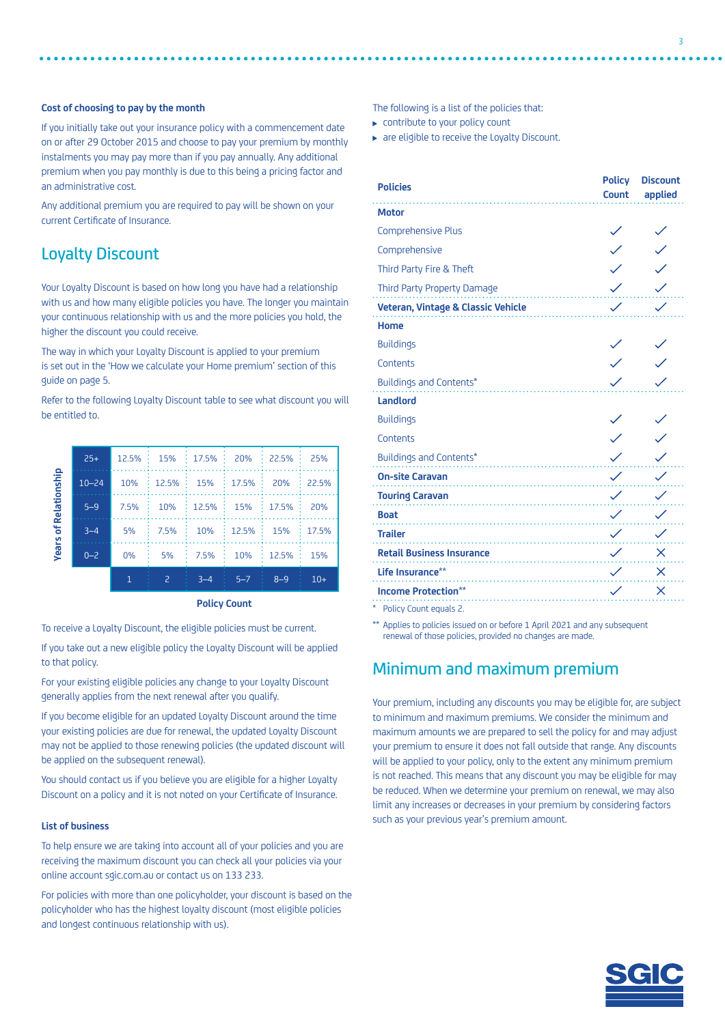### **Cost of choosing to pay by the month**

If you initially take out your insurance policy with a commencement date on or after 29 October 2015 and choose to pay your premium by monthly instalments you may pay more than if you pay annually. Any additional premium when you pay monthly is due to this being a pricing factor and an administrative cost.

Any additional premium you are required to pay will be shown on your current Certificate of Insurance.

# Loyalty Discount

Your Loyalty Discount is based on how long you have had a relationship with us and how many eligible policies you have. The longer you maintain your continuous relationship with us and the more policies you hold, the higher the discount you could receive.

The way in which your Loyalty Discount is applied to your premium is set out in the 'How we calculate your Home premium' section of this guide on page 5.

Refer to the following Loyalty Discount table to see what discount you will be entitled to.

| of Relationship<br>Years | $25+$     | $12.5\%$ :   | 15%   | 17.5%   | 20%     | 22.5%   | 25%   |
|--------------------------|-----------|--------------|-------|---------|---------|---------|-------|
|                          | $10 - 24$ | 10%          | 12.5% | 15%     | 17.5%   | 20%     | 22.5% |
|                          | $5 - 9$   | 7.5%         | 10%   | 12.5%   | 15%     | 17.5%   | 20%   |
|                          | $3 - 4$   | 5%           | 7.5%  | 10%     | 12.5%   | 15%     | 17.5% |
|                          | $0 - 2$   | $0\%$        | 5%    | 7.5%    | 10%     | 12.5%   | 15%   |
|                          |           | $\mathbf{1}$ | 2     | $3 - 4$ | $5 - 7$ | $8 - 9$ | $10+$ |

**Policy Count**

To receive a Loyalty Discount, the eligible policies must be current.

If you take out a new eligible policy the Loyalty Discount will be applied to that policy.

For your existing eligible policies any change to your Loyalty Discount generally applies from the next renewal after you qualify.

If you become eligible for an updated Loyalty Discount around the time your existing policies are due for renewal, the updated Loyalty Discount may not be applied to those renewing policies (the updated discount will be applied on the subsequent renewal).

You should contact us if you believe you are eligible for a higher Loyalty Discount on a policy and it is not noted on your Certificate of Insurance.

#### **List of business**

To help ensure we are taking into account all of your policies and you are receiving the maximum discount you can check all your policies via your online account [sgic.com.au](http://sgic.com.au) or contact us on 133 233.

For policies with more than one policyholder, your discount is based on the policyholder who has the highest loyalty discount (most eligible policies and longest continuous relationship with us).

The following is a list of the policies that:

▶ contribute to your policy count

▶ are eligible to receive the Loyalty Discount.

| <b>Policies</b>                    | <b>Policy</b><br><b>Count</b> | <b>Discount</b><br>applied |
|------------------------------------|-------------------------------|----------------------------|
| <b>Motor</b>                       |                               |                            |
| <b>Comprehensive Plus</b>          |                               |                            |
| Comprehensive                      |                               |                            |
| Third Party Fire & Theft           |                               |                            |
| Third Party Property Damage        |                               |                            |
| Veteran, Vintage & Classic Vehicle |                               |                            |
| <b>Home</b>                        |                               |                            |
| <b>Buildings</b>                   |                               |                            |
| Contents                           |                               |                            |
| <b>Buildings and Contents*</b>     |                               |                            |
| <b>Landlord</b>                    |                               |                            |
| <b>Buildings</b>                   |                               |                            |
| Contents                           |                               |                            |
| Buildings and Contents*            |                               |                            |
| <b>On-site Caravan</b>             |                               |                            |
| <b>Touring Caravan</b>             |                               |                            |
| <b>Boat</b>                        |                               |                            |
| <b>Trailer</b>                     |                               |                            |
| <b>Retail Business Insurance</b>   |                               | X                          |
| Life Insurance**                   |                               | $\times$                   |
| <b>Income Protection**</b>         |                               | ×                          |
| Policy Count equals 2.             |                               |                            |

\*\* Applies to policies issued on or before 1 April 2021 and any subsequent renewal of those policies, provided no changes are made.

# Minimum and maximum premium

Your premium, including any discounts you may be eligible for, are subject to minimum and maximum premiums. We consider the minimum and maximum amounts we are prepared to sell the policy for and may adjust your premium to ensure it does not fall outside that range. Any discounts will be applied to your policy, only to the extent any minimum premium is not reached. This means that any discount you may be eligible for may be reduced. When we determine your premium on renewal, we may also limit any increases or decreases in your premium by considering factors such as your previous year's premium amount.

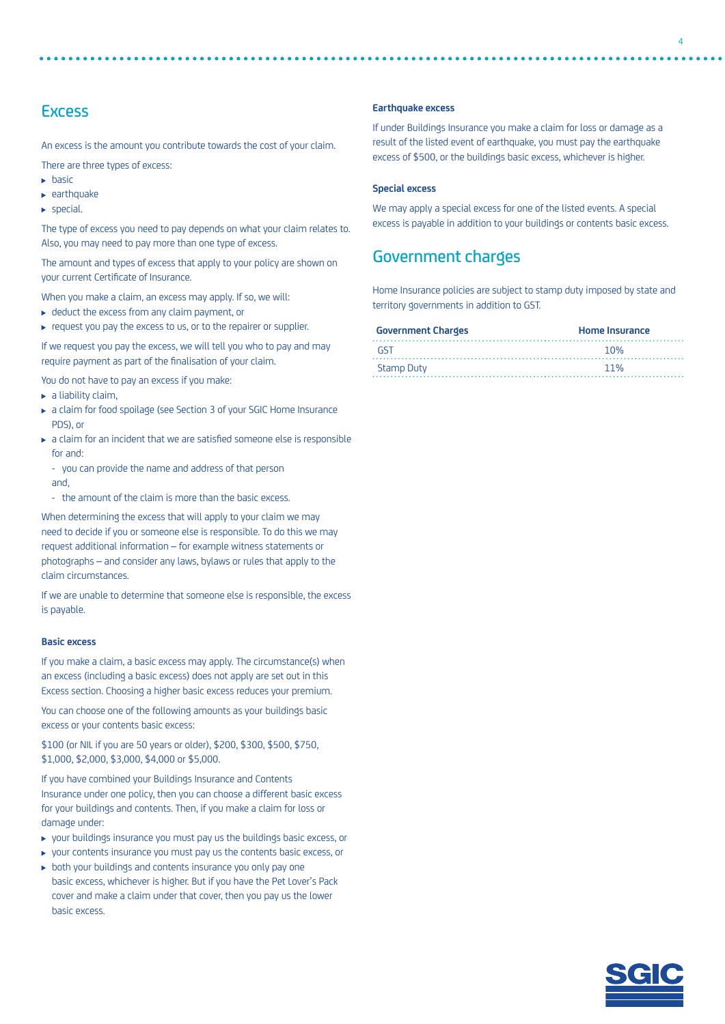# **Excess**

An excess is the amount you contribute towards the cost of your claim.

There are three types of excess:

- $\blacktriangleright$  basic
- $\blacktriangleright$  earthquake
- $\blacktriangleright$  special.

The type of excess you need to pay depends on what your claim relates to. Also, you may need to pay more than one type of excess.

The amount and types of excess that apply to your policy are shown on your current Certificate of Insurance.

When you make a claim, an excess may apply. If so, we will:

- ▶ deduct the excess from any claim payment, or
- request you pay the excess to us, or to the repairer or supplier.

If we request you pay the excess, we will tell you who to pay and may require payment as part of the finalisation of your claim.

You do not have to pay an excess if you make:

- $\blacktriangleright$  a liability claim,
- a claim for food spoilage (see Section 3 of your SGIC Home Insurance PDS), or
- a claim for an incident that we are satisfied someone else is responsible for and:
	- you can provide the name and address of that person and,
	- the amount of the claim is more than the basic excess.

When determining the excess that will apply to your claim we may need to decide if you or someone else is responsible. To do this we may request additional information – for example witness statements or photographs – and consider any laws, bylaws or rules that apply to the claim circumstances.

If we are unable to determine that someone else is responsible, the excess is payable.

#### **Basic excess**

If you make a claim, a basic excess may apply. The circumstance(s) when an excess (including a basic excess) does not apply are set out in this Excess section. Choosing a higher basic excess reduces your premium.

You can choose one of the following amounts as your buildings basic excess or your contents basic excess:

\$100 (or NIL if you are 50 years or older), \$200, \$300, \$500, \$750, \$1,000, \$2,000, \$3,000, \$4,000 or \$5,000.

If you have combined your Buildings Insurance and Contents Insurance under one policy, then you can choose a different basic excess for your buildings and contents. Then, if you make a claim for loss or damage under:

- your buildings insurance you must pay us the buildings basic excess, or
- your contents insurance you must pay us the contents basic excess, or
- both your buildings and contents insurance you only pay one basic excess, whichever is higher. But if you have the Pet Lover's Pack cover and make a claim under that cover, then you pay us the lower basic excess.

#### **Earthquake excess**

If under Buildings Insurance you make a claim for loss or damage as a result of the listed event of earthquake, you must pay the earthquake excess of \$500, or the buildings basic excess, whichever is higher.

#### **Special excess**

We may apply a special excess for one of the listed events. A special excess is payable in addition to your buildings or contents basic excess.

# Government charges

Home Insurance policies are subject to stamp duty imposed by state and territory governments in addition to GST.

| <b>Government Charges</b> | <b>Home Insurance</b> |  |  |
|---------------------------|-----------------------|--|--|
| - GST                     | 1 በ%                  |  |  |
| <b>Stamp Duty</b>         | 11%                   |  |  |